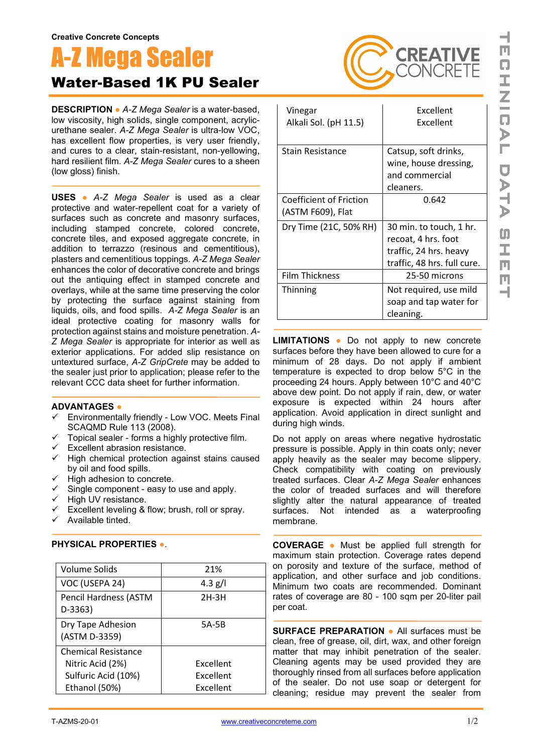## Mega Sealer Water-Based 1K PU Sealer

**DESCRIPTION ●** *A-Z Mega Sealer* is a water-based, low viscosity, high solids, single component, acrylicurethane sealer. *A-Z Mega Sealer* is ultra-low VOC, has excellent flow properties, is very user friendly, and cures to a clear, stain-resistant, non-yellowing, hard resilient film. *A-Z Mega Sealer* cures to a sheen (low gloss) finish.

**USES ●** *A-Z Mega Sealer* is used as a clear protective and water-repellent coat for a variety of surfaces such as concrete and masonry surfaces, including stamped concrete, colored concrete, concrete tiles, and exposed aggregate concrete, in addition to terrazzo (resinous and cementitious), plasters and cementitious toppings. *A-Z Mega Sealer* enhances the color of decorative concrete and brings out the antiquing effect in stamped concrete and overlays, while at the same time preserving the color by protecting the surface against staining from liquids, oils, and food spills. *A-Z Mega Sealer* is an ideal protective coating for masonry walls for protection against stains and moisture penetration. *A-Z Mega Sealer* is appropriate for interior as well as exterior applications. For added slip resistance on untextured surface, *A-Z GripCrete* may be added to the sealer just prior to application; please refer to the relevant CCC data sheet for further information.

## **ADVANTAGES ●**

- Environmentally friendly Low VOC. Meets Final SCAQMD Rule 113 (2008).
- Topical sealer forms a highly protective film.
- $\checkmark$  Excellent abrasion resistance.
- $\checkmark$  High chemical protection against stains caused by oil and food spills.
- $\checkmark$  High adhesion to concrete.
- $\checkmark$  Single component easy to use and apply.
- $\checkmark$  High UV resistance.
- $\checkmark$  Excellent leveling & flow; brush, roll or spray.
- $\checkmark$  Available tinted.

| <b>Volume Solids</b>                                                                   | 21%                                 |
|----------------------------------------------------------------------------------------|-------------------------------------|
| VOC (USEPA 24)                                                                         | 4.3 g/l                             |
| Pencil Hardness (ASTM<br>D-3363)                                                       | $2H-3H$                             |
| Dry Tape Adhesion<br>(ASTM D-3359)                                                     | 5A-5B                               |
| <b>Chemical Resistance</b><br>Nitric Acid (2%)<br>Sulfuric Acid (10%)<br>Ethanol (50%) | Excellent<br>Excellent<br>Excellent |

## **PHYSICAL PROPERTIES ●**.



| Vinegar<br>Alkali Sol. (pH 11.5)             | Excellent<br>Excellent                                                                                  |
|----------------------------------------------|---------------------------------------------------------------------------------------------------------|
| <b>Stain Resistance</b>                      | Catsup, soft drinks,<br>wine, house dressing,<br>and commercial<br>cleaners.                            |
| Coefficient of Friction<br>(ASTM F609), Flat | 0.642                                                                                                   |
| Dry Time (21C, 50% RH)                       | 30 min. to touch, 1 hr.<br>recoat, 4 hrs. foot<br>traffic, 24 hrs. heavy<br>traffic, 48 hrs. full cure. |
| <b>Film Thickness</b>                        | 25-50 microns                                                                                           |
| Thinning                                     | Not required, use mild<br>soap and tap water for<br>cleaning.                                           |

**LIMITATIONS ●** Do not apply to new concrete surfaces before they have been allowed to cure for a minimum of 28 days. Do not apply if ambient temperature is expected to drop below 5°C in the proceeding 24 hours. Apply between 10°C and 40°C above dew point. Do not apply if rain, dew, or water exposure is expected within 24 hours after application. Avoid application in direct sunlight and during high winds.

Do not apply on areas where negative hydrostatic pressure is possible. Apply in thin coats only; never apply heavily as the sealer may become slippery. Check compatibility with coating on previously treated surfaces. Clear *A-Z Mega Sealer* enhances the color of treaded surfaces and will therefore slightly alter the natural appearance of treated surfaces. Not intended as a waterproofing membrane.

**COVERAGE ●** Must be applied full strength for maximum stain protection. Coverage rates depend on porosity and texture of the surface, method of application, and other surface and job conditions. Minimum two coats are recommended. Dominant rates of coverage are 80 - 100 sqm per 20-liter pail per coat.

**SURFACE PREPARATION ●** All surfaces must be clean, free of grease, oil, dirt, wax, and other foreign matter that may inhibit penetration of the sealer. Cleaning agents may be used provided they are thoroughly rinsed from all surfaces before application of the sealer. Do not use soap or detergent for cleaning; residue may prevent the sealer from